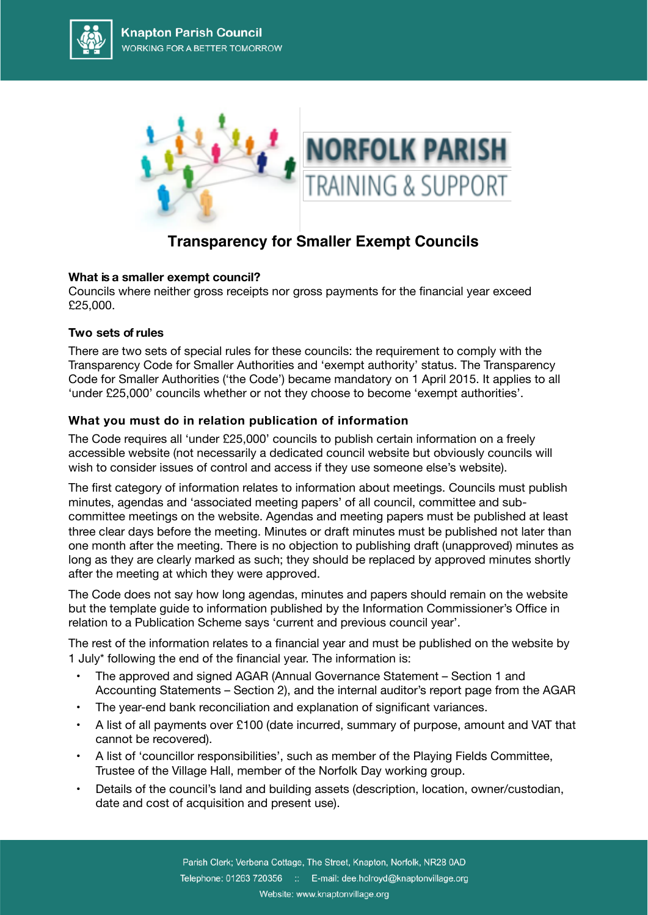



# **Transparency for Smaller Exempt Councils**

# **What is a smaller exempt council?**

Councils where neither gross receipts nor gross payments for the financial year exceed £25,000.

### **Two sets ofrules**

There are two sets of special rules for these councils: the requirement to comply with the Transparency Code for Smaller Authorities and 'exempt authority' status. The Transparency Code for Smaller Authorities ('the Code') became mandatory on 1 April 2015. It applies to all 'under £25,000' councils whether or not they choose to become 'exempt authorities'.

# **What you must do in relation publication of information**

The Code requires all 'under £25,000' councils to publish certain information on a freely accessible website (not necessarily a dedicated council website but obviously councils will wish to consider issues of control and access if they use someone else's website).

The first category of information relates to information about meetings. Councils must publish minutes, agendas and 'associated meeting papers' of all council, committee and subcommittee meetings on the website. Agendas and meeting papers must be published at least three clear days before the meeting. Minutes or draft minutes must be published not later than one month after the meeting. There is no objection to publishing draft (unapproved) minutes as long as they are clearly marked as such; they should be replaced by approved minutes shortly after the meeting at which they were approved.

The Code does not say how long agendas, minutes and papers should remain on the website but the template guide to information published by the Information Commissioner's Office in relation to a Publication Scheme says 'current and previous council year'.

The rest of the information relates to a financial year and must be published on the website by 1 July\* following the end of the financial year. The information is:

- The approved and signed AGAR (Annual Governance Statement Section 1 and Accounting Statements – Section 2), and the internal auditor's report page from the AGAR
- The year-end bank reconciliation and explanation of significant variances.
- A list of all payments over £100 (date incurred, summary of purpose, amount and VAT that cannot be recovered).
- A list of 'councillor responsibilities', such as member of the Playing Fields Committee, Trustee of the Village Hall, member of the Norfolk Day working group.
- Details of the council's land and building assets (description, location, owner/custodian, date and cost of acquisition and present use).